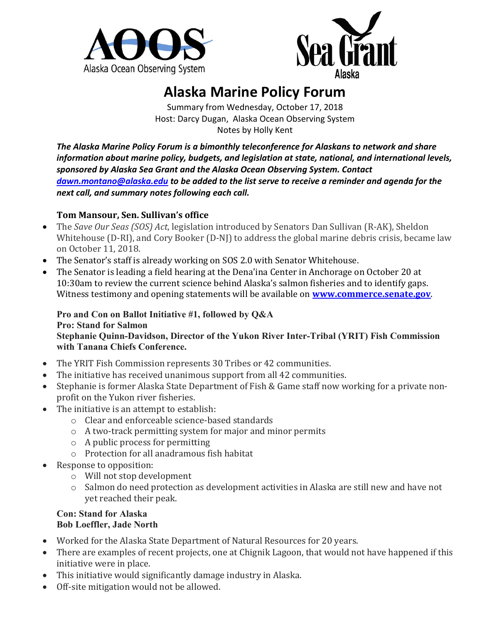



## **Alaska Marine Policy Forum**

Summary from Wednesday, October 17, 2018 Host: Darcy Dugan, Alaska Ocean Observing System Notes by Holly Kent

*The Alaska Marine Policy Forum is a bimonthly teleconference for Alaskans to network and share information about marine policy, budgets, and legislation at state, national, and international levels, sponsored by Alaska Sea Grant and the Alaska Ocean Observing System. Contact [dawn.montano@alaska.edu](mailto:dawn.montano@alaska.edu) to be added to the list serve to receive a reminder and agenda for the next call, and summary notes following each call.* 

## **Tom Mansour, Sen. Sullivan's office**

- The *Save Our Seas (SOS) Act*, legislation introduced by Senators Dan Sullivan (R-AK), Sheldon Whitehouse (D-RI), and Cory Booker (D-NJ) to address the global marine debris crisis, became law on October 11, 2018.
- The Senator's staff is already working on SOS 2.0 with Senator Whitehouse.
- The Senator is leading a field hearing at the Dena'ina Center in Anchorage on October 20 at 10:30am to review the current science behind Alaska's salmon fisheries and to identify gaps. Witness testimony and opening statements will be available on **[www.commerce.senate.gov](https://na01.safelinks.protection.outlook.com/?url=http%3A%2F%2Fwww.commerce.senate.gov&data=02%7C01%7Cpaul.kirby%40wolterskluwer.com%7C2b5ec5918bfa4d954e3c08d62e1912ee%7C8ac76c91e7f141ffa89c3553b2da2c17%7C1%7C0%7C636747082705763497&sdata=KaOKZ8iI3pMPiweJrpNgGgJnIwI5a%2B1MhkRtxJb37f8%3D&reserved=0)**.

## **Pro and Con on Ballot Initiative #1, followed by Q&A Pro: Stand for Salmon**

**Stephanie Quinn-Davidson, Director of the Yukon River Inter-Tribal (YRIT) Fish Commission with Tanana Chiefs Conference.**

- The YRIT Fish Commission represents 30 Tribes or 42 communities.
- The initiative has received unanimous support from all 42 communities.
- Stephanie is former Alaska State Department of Fish & Game staff now working for a private nonprofit on the Yukon river fisheries.
- The initiative is an attempt to establish:
	- o Clear and enforceable science-based standards
	- o A two-track permitting system for major and minor permits
	- o A public process for permitting
	- o Protection for all anadramous fish habitat
- Response to opposition:
	- o Will not stop development
	- o Salmon do need protection as development activities in Alaska are still new and have not yet reached their peak.

## **Con: Stand for Alaska Bob Loeffler, Jade North**

- Worked for the Alaska State Department of Natural Resources for 20 years.
- There are examples of recent projects, one at Chignik Lagoon, that would not have happened if this initiative were in place.
- This initiative would significantly damage industry in Alaska.
- Off-site mitigation would not be allowed.